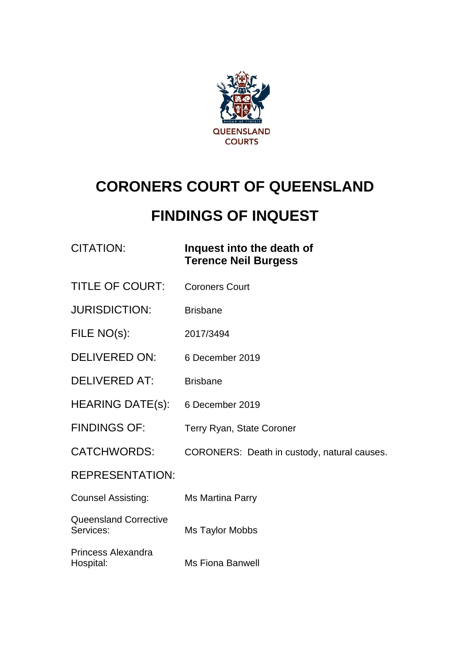

# **CORONERS COURT OF QUEENSLAND**

# **FINDINGS OF INQUEST**

## CITATION: **Inquest into the death of Terence Neil Burgess**

- TITLE OF COURT: Coroners Court
- JURISDICTION: Brisbane
- FILE NO(s): 2017/3494
- DELIVERED ON: 6 December 2019
- DELIVERED AT: Brisbane
- HEARING DATE(s): 6 December 2019
- FINDINGS OF: Terry Ryan, State Coroner
- CATCHWORDS: CORONERS: Death in custody, natural causes.

REPRESENTATION:

| <b>Counsel Assisting:</b> | Ms Martina Parry |
|---------------------------|------------------|
|---------------------------|------------------|

Queensland Corrective<br>Services: Ms Taylor Mobbs

Princess Alexandra Hospital: Ms Fiona Banwell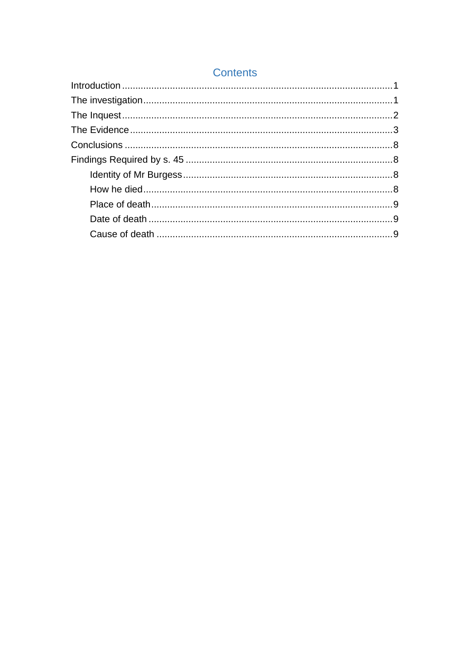### **Contents**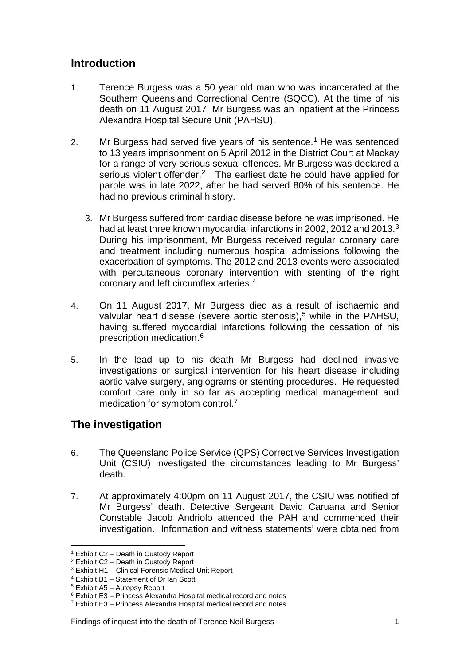#### <span id="page-2-0"></span>**Introduction**

- 1. Terence Burgess was a 50 year old man who was incarcerated at the Southern Queensland Correctional Centre (SQCC). At the time of his death on 11 August 2017, Mr Burgess was an inpatient at the Princess Alexandra Hospital Secure Unit (PAHSU).
- 2. Mr Burgess had served five years of his sentence. [1](#page-2-2) He was sentenced to 13 years imprisonment on 5 April 2012 in the District Court at Mackay for a range of very serious sexual offences. Mr Burgess was declared a serious violent offender.<sup>2</sup> The earliest date he could have applied for parole was in late 2022, after he had served 80% of his sentence. He had no previous criminal history.
	- 3. Mr Burgess suffered from cardiac disease before he was imprisoned. He had at least three known myocardial infarctions in 2002, 2012 and 201[3](#page-2-4).<sup>3</sup> During his imprisonment, Mr Burgess received regular coronary care and treatment including numerous hospital admissions following the exacerbation of symptoms. The 2012 and 2013 events were associated with percutaneous coronary intervention with stenting of the right coronary and left circumflex arteries.[4](#page-2-5)
- 4. On 11 August 2017, Mr Burgess died as a result of ischaemic and valvular heart disease (severe aortic stenosis), [5](#page-2-6) while in the PAHSU, having suffered myocardial infarctions following the cessation of his prescription medication.[6](#page-2-7)
- 5. In the lead up to his death Mr Burgess had declined invasive investigations or surgical intervention for his heart disease including aortic valve surgery, angiograms or stenting procedures. He requested comfort care only in so far as accepting medical management and medication for symptom control[.7](#page-2-8)

## <span id="page-2-1"></span>**The investigation**

- 6. The Queensland Police Service (QPS) Corrective Services Investigation Unit (CSIU) investigated the circumstances leading to Mr Burgess' death.
- 7. At approximately 4:00pm on 11 August 2017, the CSIU was notified of Mr Burgess' death. Detective Sergeant David Caruana and Senior Constable Jacob Andriolo attended the PAH and commenced their investigation. Information and witness statements' were obtained from

<sup>1</sup> Exhibit C2 – Death in Custody Report  $\overline{a}$ 

<span id="page-2-3"></span><span id="page-2-2"></span><sup>2</sup> Exhibit C2 – Death in Custody Report

<span id="page-2-4"></span><sup>3</sup> Exhibit H1 – Clinical Forensic Medical Unit Report

<span id="page-2-5"></span><sup>4</sup> Exhibit B1 – Statement of Dr Ian Scott

<span id="page-2-6"></span><sup>5</sup> Exhibit A5 – Autopsy Report

<span id="page-2-7"></span> $6$  Exhibit E3 – Princess Alexandra Hospital medical record and notes

<span id="page-2-8"></span> $7$  Exhibit E3 – Princess Alexandra Hospital medical record and notes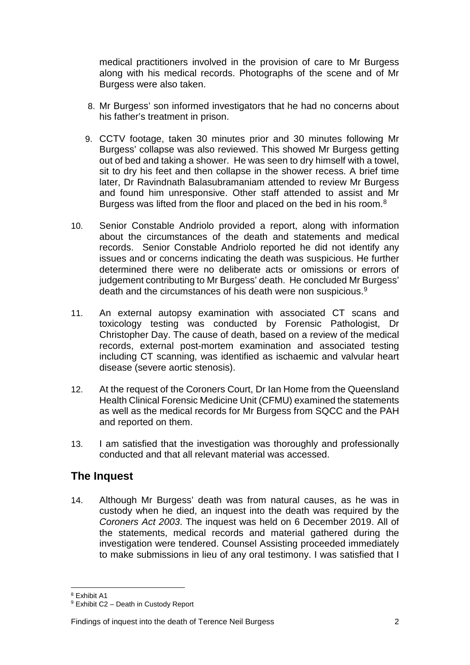medical practitioners involved in the provision of care to Mr Burgess along with his medical records. Photographs of the scene and of Mr Burgess were also taken.

- 8. Mr Burgess' son informed investigators that he had no concerns about his father's treatment in prison.
- 9. CCTV footage, taken 30 minutes prior and 30 minutes following Mr Burgess' collapse was also reviewed. This showed Mr Burgess getting out of bed and taking a shower. He was seen to dry himself with a towel, sit to dry his feet and then collapse in the shower recess. A brief time later, Dr Ravindnath Balasubramaniam attended to review Mr Burgess and found him unresponsive. Other staff attended to assist and Mr Burgess was lifted from the floor and placed on the bed in his room.<sup>8</sup>
- 10. Senior Constable Andriolo provided a report, along with information about the circumstances of the death and statements and medical records. Senior Constable Andriolo reported he did not identify any issues and or concerns indicating the death was suspicious. He further determined there were no deliberate acts or omissions or errors of judgement contributing to Mr Burgess' death. He concluded Mr Burgess' death and the circumstances of his death were non suspicious.[9](#page-3-2)
- 11. An external autopsy examination with associated CT scans and toxicology testing was conducted by Forensic Pathologist, Dr Christopher Day. The cause of death, based on a review of the medical records, external post-mortem examination and associated testing including CT scanning, was identified as ischaemic and valvular heart disease (severe aortic stenosis).
- 12. At the request of the Coroners Court, Dr Ian Home from the Queensland Health Clinical Forensic Medicine Unit (CFMU) examined the statements as well as the medical records for Mr Burgess from SQCC and the PAH and reported on them.
- 13. I am satisfied that the investigation was thoroughly and professionally conducted and that all relevant material was accessed.

#### <span id="page-3-0"></span>**The Inquest**

14. Although Mr Burgess' death was from natural causes, as he was in custody when he died, an inquest into the death was required by the *Coroners Act 2003*. The inquest was held on 6 December 2019. All of the statements, medical records and material gathered during the investigation were tendered. Counsel Assisting proceeded immediately to make submissions in lieu of any oral testimony. I was satisfied that I

<sup>8&</sup>lt;br>Exhibit A1

<span id="page-3-2"></span><span id="page-3-1"></span><sup>9</sup> Exhibit C2 – Death in Custody Report

Findings of inquest into the death of Terence Neil Burgess 2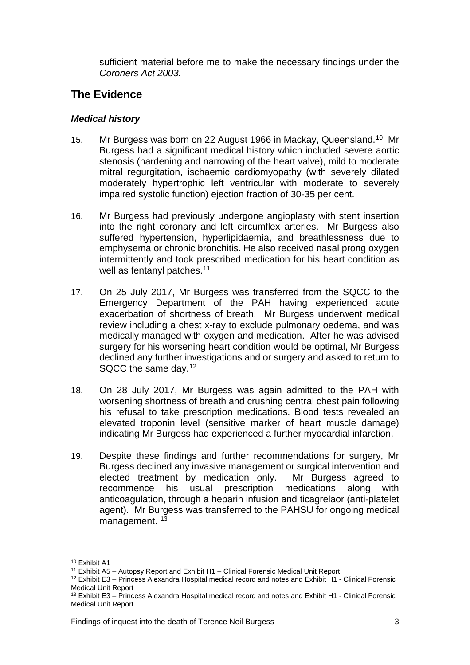sufficient material before me to make the necessary findings under the *Coroners Act 2003.* 

#### <span id="page-4-0"></span>**The Evidence**

#### *Medical history*

- 15. Mr Burgess was born on 22 August 1966 in Mackay, Queensland.[10](#page-4-1) Mr Burgess had a significant medical history which included severe aortic stenosis (hardening and narrowing of the heart valve), mild to moderate mitral regurgitation, ischaemic cardiomyopathy (with severely dilated moderately hypertrophic left ventricular with moderate to severely impaired systolic function) ejection fraction of 30-35 per cent.
- 16. Mr Burgess had previously undergone angioplasty with stent insertion into the right coronary and left circumflex arteries. Mr Burgess also suffered hypertension, hyperlipidaemia, and breathlessness due to emphysema or chronic bronchitis. He also received nasal prong oxygen intermittently and took prescribed medication for his heart condition as well as fentanyl patches.<sup>[11](#page-4-2)</sup>
- 17. On 25 July 2017, Mr Burgess was transferred from the SQCC to the Emergency Department of the PAH having experienced acute exacerbation of shortness of breath. Mr Burgess underwent medical review including a chest x-ray to exclude pulmonary oedema, and was medically managed with oxygen and medication. After he was advised surgery for his worsening heart condition would be optimal, Mr Burgess declined any further investigations and or surgery and asked to return to SQCC the same day.[12](#page-4-3)
- 18. On 28 July 2017, Mr Burgess was again admitted to the PAH with worsening shortness of breath and crushing central chest pain following his refusal to take prescription medications. Blood tests revealed an elevated troponin level (sensitive marker of heart muscle damage) indicating Mr Burgess had experienced a further myocardial infarction.
- 19. Despite these findings and further recommendations for surgery, Mr Burgess declined any invasive management or surgical intervention and elected treatment by medication only. Mr Burgess agreed to recommence his usual prescription medications along with anticoagulation, through a heparin infusion and ticagrelaor (anti-platelet agent). Mr Burgess was transferred to the PAHSU for ongoing medical management.<sup>[13](#page-4-4)</sup>

<span id="page-4-1"></span><sup>&</sup>lt;sup>10</sup> Exhibit A1

<sup>&</sup>lt;sup>11</sup> Exhibit A5 – Autopsy Report and Exhibit H1 – Clinical Forensic Medical Unit Report

<span id="page-4-3"></span><span id="page-4-2"></span><sup>12</sup> Exhibit E3 – Princess Alexandra Hospital medical record and notes and Exhibit H1 - Clinical Forensic Medical Unit Report

<span id="page-4-4"></span><sup>&</sup>lt;sup>13</sup> Exhibit E3 – Princess Alexandra Hospital medical record and notes and Exhibit H1 - Clinical Forensic Medical Unit Report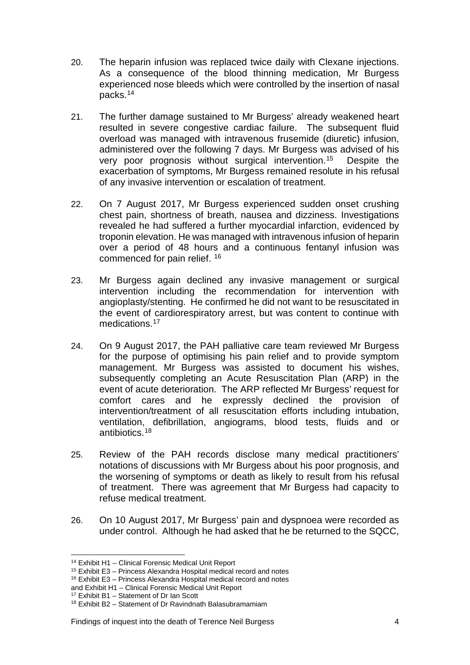- 20. The heparin infusion was replaced twice daily with Clexane injections. As a consequence of the blood thinning medication, Mr Burgess experienced nose bleeds which were controlled by the insertion of nasal packs.[14](#page-5-0)
- 21. The further damage sustained to Mr Burgess' already weakened heart resulted in severe congestive cardiac failure. The subsequent fluid overload was managed with intravenous frusemide (diuretic) infusion, administered over the following 7 days. Mr Burgess was advised of his very poor prognosis without surgical intervention.[15](#page-5-1) Despite the exacerbation of symptoms, Mr Burgess remained resolute in his refusal of any invasive intervention or escalation of treatment.
- 22. On 7 August 2017, Mr Burgess experienced sudden onset crushing chest pain, shortness of breath, nausea and dizziness. Investigations revealed he had suffered a further myocardial infarction, evidenced by troponin elevation. He was managed with intravenous infusion of heparin over a period of 48 hours and a continuous fentanyl infusion was commenced for pain relief. [16](#page-5-2)
- 23. Mr Burgess again declined any invasive management or surgical intervention including the recommendation for intervention with angioplasty/stenting. He confirmed he did not want to be resuscitated in the event of cardiorespiratory arrest, but was content to continue with medications.<sup>17</sup>
- 24. On 9 August 2017, the PAH palliative care team reviewed Mr Burgess for the purpose of optimising his pain relief and to provide symptom management. Mr Burgess was assisted to document his wishes, subsequently completing an Acute Resuscitation Plan (ARP) in the event of acute deterioration. The ARP reflected Mr Burgess' request for comfort cares and he expressly declined the provision of intervention/treatment of all resuscitation efforts including intubation, ventilation, defibrillation, angiograms, blood tests, fluids and or antibiotics.[18](#page-5-4)
- 25. Review of the PAH records disclose many medical practitioners' notations of discussions with Mr Burgess about his poor prognosis, and the worsening of symptoms or death as likely to result from his refusal of treatment. There was agreement that Mr Burgess had capacity to refuse medical treatment.
- 26. On 10 August 2017, Mr Burgess' pain and dyspnoea were recorded as under control. Although he had asked that he be returned to the SQCC,

<sup>14</sup> Exhibit H1 – Clinical Forensic Medical Unit Report

<span id="page-5-1"></span><span id="page-5-0"></span><sup>15</sup> Exhibit E3 – Princess Alexandra Hospital medical record and notes

<span id="page-5-2"></span><sup>16</sup> Exhibit E3 – Princess Alexandra Hospital medical record and notes

<span id="page-5-3"></span>and Exhibit H1 – Clinical Forensic Medical Unit Report<br><sup>17</sup> Exhibit B1 – Statement of Dr Ian Scott

<span id="page-5-4"></span> $18$  Exhibit B2 – Statement of Dr Ravindnath Balasubramamiam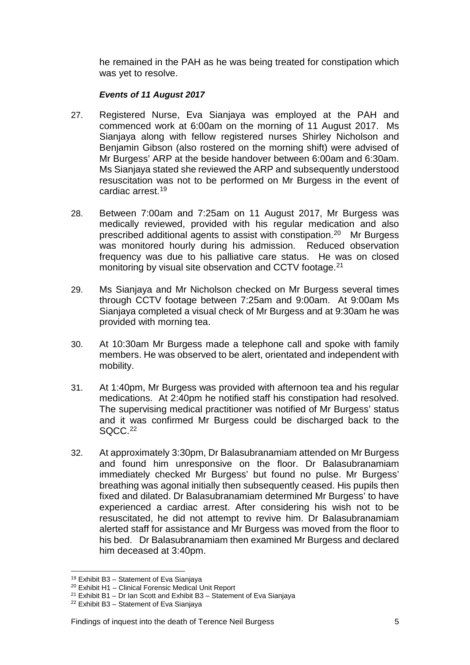he remained in the PAH as he was being treated for constipation which was yet to resolve.

#### *Events of 11 August 2017*

- 27. Registered Nurse, Eva Sianjaya was employed at the PAH and commenced work at 6:00am on the morning of 11 August 2017. Ms Sianjaya along with fellow registered nurses Shirley Nicholson and Benjamin Gibson (also rostered on the morning shift) were advised of Mr Burgess' ARP at the beside handover between 6:00am and 6:30am. Ms Sianjaya stated she reviewed the ARP and subsequently understood resuscitation was not to be performed on Mr Burgess in the event of cardiac arrest[.19](#page-6-0)
- 28. Between 7:00am and 7:25am on 11 August 2017, Mr Burgess was medically reviewed, provided with his regular medication and also prescribed additional agents to assist with constipation.[20](#page-6-1) Mr Burgess was monitored hourly during his admission. Reduced observation frequency was due to his palliative care status. He was on closed monitoring by visual site observation and CCTV footage.<sup>[21](#page-6-2)</sup>
- 29. Ms Sianjaya and Mr Nicholson checked on Mr Burgess several times through CCTV footage between 7:25am and 9:00am. At 9:00am Ms Sianjaya completed a visual check of Mr Burgess and at 9:30am he was provided with morning tea.
- 30. At 10:30am Mr Burgess made a telephone call and spoke with family members. He was observed to be alert, orientated and independent with mobility.
- 31. At 1:40pm, Mr Burgess was provided with afternoon tea and his regular medications. At 2:40pm he notified staff his constipation had resolved. The supervising medical practitioner was notified of Mr Burgess' status and it was confirmed Mr Burgess could be discharged back to the SQCC.<sup>[22](#page-6-3)</sup>
- 32. At approximately 3:30pm, Dr Balasubranamiam attended on Mr Burgess and found him unresponsive on the floor. Dr Balasubranamiam immediately checked Mr Burgess' but found no pulse. Mr Burgess' breathing was agonal initially then subsequently ceased. His pupils then fixed and dilated. Dr Balasubranamiam determined Mr Burgess' to have experienced a cardiac arrest. After considering his wish not to be resuscitated, he did not attempt to revive him. Dr Balasubranamiam alerted staff for assistance and Mr Burgess was moved from the floor to his bed. Dr Balasubranamiam then examined Mr Burgess and declared him deceased at 3:40pm.

<sup>19</sup> Exhibit B3 – Statement of Eva Sianjaya  $\overline{a}$ 

<span id="page-6-1"></span><span id="page-6-0"></span><sup>20</sup> Exhibit H1 – Clinical Forensic Medical Unit Report

<span id="page-6-2"></span><sup>&</sup>lt;sup>21</sup> Exhibit B1 – Dr Ian Scott and Exhibit B3 – Statement of Eva Sianjaya

<span id="page-6-3"></span><sup>&</sup>lt;sup>22</sup> Exhibit B3 - Statement of Eva Sianjaya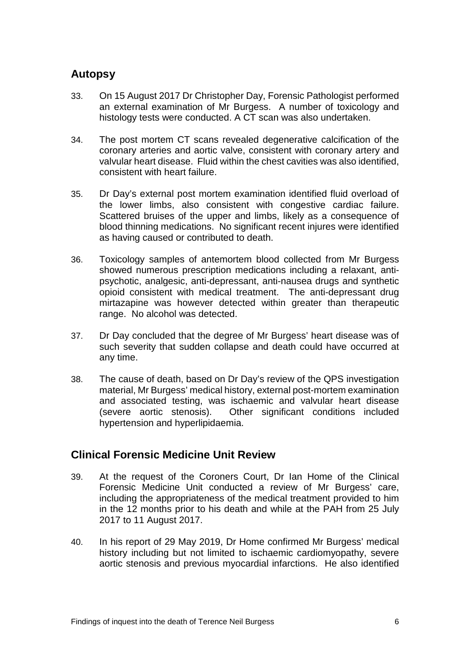#### **Autopsy**

- 33. On 15 August 2017 Dr Christopher Day, Forensic Pathologist performed an external examination of Mr Burgess. A number of toxicology and histology tests were conducted. A CT scan was also undertaken.
- 34. The post mortem CT scans revealed degenerative calcification of the coronary arteries and aortic valve, consistent with coronary artery and valvular heart disease. Fluid within the chest cavities was also identified, consistent with heart failure.
- 35. Dr Day's external post mortem examination identified fluid overload of the lower limbs, also consistent with congestive cardiac failure. Scattered bruises of the upper and limbs, likely as a consequence of blood thinning medications. No significant recent injures were identified as having caused or contributed to death.
- 36. Toxicology samples of antemortem blood collected from Mr Burgess showed numerous prescription medications including a relaxant, antipsychotic, analgesic, anti-depressant, anti-nausea drugs and synthetic opioid consistent with medical treatment. The anti-depressant drug mirtazapine was however detected within greater than therapeutic range. No alcohol was detected.
- 37. Dr Day concluded that the degree of Mr Burgess' heart disease was of such severity that sudden collapse and death could have occurred at any time.
- 38. The cause of death, based on Dr Day's review of the QPS investigation material, Mr Burgess' medical history, external post-mortem examination and associated testing, was ischaemic and valvular heart disease<br>(severe aortic stenosis). Other significant conditions included Other significant conditions included hypertension and hyperlipidaemia.

#### **Clinical Forensic Medicine Unit Review**

- 39. At the request of the Coroners Court, Dr Ian Home of the Clinical Forensic Medicine Unit conducted a review of Mr Burgess' care, including the appropriateness of the medical treatment provided to him in the 12 months prior to his death and while at the PAH from 25 July 2017 to 11 August 2017.
- 40. In his report of 29 May 2019, Dr Home confirmed Mr Burgess' medical history including but not limited to ischaemic cardiomyopathy, severe aortic stenosis and previous myocardial infarctions. He also identified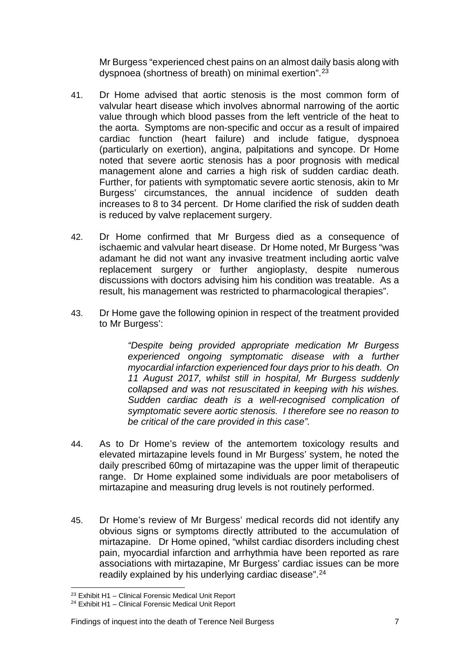Mr Burgess "experienced chest pains on an almost daily basis along with dyspnoea (shortness of breath) on minimal exertion".[23](#page-8-0)

- 41. Dr Home advised that aortic stenosis is the most common form of valvular heart disease which involves abnormal narrowing of the aortic value through which blood passes from the left ventricle of the heat to the aorta. Symptoms are non-specific and occur as a result of impaired cardiac function (heart failure) and include fatigue, dyspnoea (particularly on exertion), angina, palpitations and syncope. Dr Home noted that severe aortic stenosis has a poor prognosis with medical management alone and carries a high risk of sudden cardiac death. Further, for patients with symptomatic severe aortic stenosis, akin to Mr Burgess' circumstances, the annual incidence of sudden death increases to 8 to 34 percent. Dr Home clarified the risk of sudden death is reduced by valve replacement surgery.
- 42. Dr Home confirmed that Mr Burgess died as a consequence of ischaemic and valvular heart disease. Dr Home noted, Mr Burgess "was adamant he did not want any invasive treatment including aortic valve replacement surgery or further angioplasty, despite numerous discussions with doctors advising him his condition was treatable. As a result, his management was restricted to pharmacological therapies".
- 43. Dr Home gave the following opinion in respect of the treatment provided to Mr Burgess':

*"Despite being provided appropriate medication Mr Burgess experienced ongoing symptomatic disease with a further myocardial infarction experienced four days prior to his death. On 11 August 2017, whilst still in hospital, Mr Burgess suddenly collapsed and was not resuscitated in keeping with his wishes. Sudden cardiac death is a well-recognised complication of symptomatic severe aortic stenosis. I therefore see no reason to be critical of the care provided in this case".* 

- 44. As to Dr Home's review of the antemortem toxicology results and elevated mirtazapine levels found in Mr Burgess' system, he noted the daily prescribed 60mg of mirtazapine was the upper limit of therapeutic range. Dr Home explained some individuals are poor metabolisers of mirtazapine and measuring drug levels is not routinely performed.
- 45. Dr Home's review of Mr Burgess' medical records did not identify any obvious signs or symptoms directly attributed to the accumulation of mirtazapine. Dr Home opined, "whilst cardiac disorders including chest pain, myocardial infarction and arrhythmia have been reported as rare associations with mirtazapine, Mr Burgess' cardiac issues can be more readily explained by his underlying cardiac disease".[24](#page-8-1)

<sup>23</sup> Exhibit H1 – Clinical Forensic Medical Unit Report

<span id="page-8-1"></span><span id="page-8-0"></span><sup>24</sup> Exhibit H1 – Clinical Forensic Medical Unit Report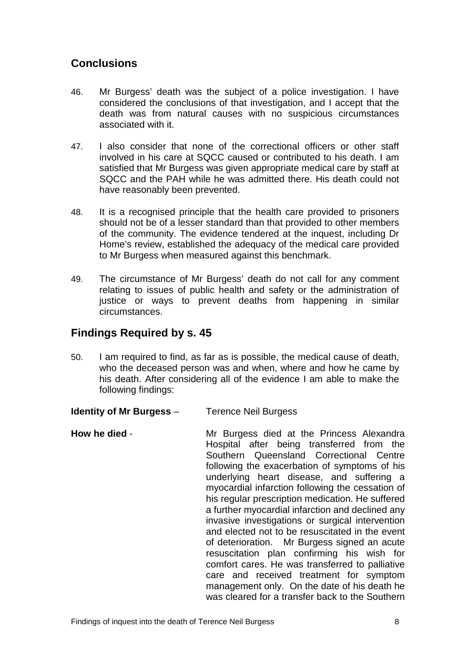## <span id="page-9-0"></span>**Conclusions**

- 46. Mr Burgess' death was the subject of a police investigation. I have considered the conclusions of that investigation, and I accept that the death was from natural causes with no suspicious circumstances associated with it.
- 47. I also consider that none of the correctional officers or other staff involved in his care at SQCC caused or contributed to his death. I am satisfied that Mr Burgess was given appropriate medical care by staff at SQCC and the PAH while he was admitted there. His death could not have reasonably been prevented.
- 48. It is a recognised principle that the health care provided to prisoners should not be of a lesser standard than that provided to other members of the community. The evidence tendered at the inquest, including Dr Home's review, established the adequacy of the medical care provided to Mr Burgess when measured against this benchmark.
- 49. The circumstance of Mr Burgess' death do not call for any comment relating to issues of public health and safety or the administration of justice or ways to prevent deaths from happening in similar circumstances.

#### <span id="page-9-1"></span>**Findings Required by s. 45**

- 50. I am required to find, as far as is possible, the medical cause of death, who the deceased person was and when, where and how he came by his death. After considering all of the evidence I am able to make the following findings:
- <span id="page-9-2"></span>**Identity of Mr Burgess – Terence Neil Burgess**
- <span id="page-9-3"></span>**How he died** - The Mr Burgess died at the Princess Alexandra Hospital after being transferred from the Southern Queensland Correctional Centre following the exacerbation of symptoms of his underlying heart disease, and suffering a myocardial infarction following the cessation of his regular prescription medication. He suffered a further myocardial infarction and declined any invasive investigations or surgical intervention and elected not to be resuscitated in the event of deterioration. Mr Burgess signed an acute resuscitation plan confirming his wish for comfort cares. He was transferred to palliative care and received treatment for symptom management only. On the date of his death he was cleared for a transfer back to the Southern